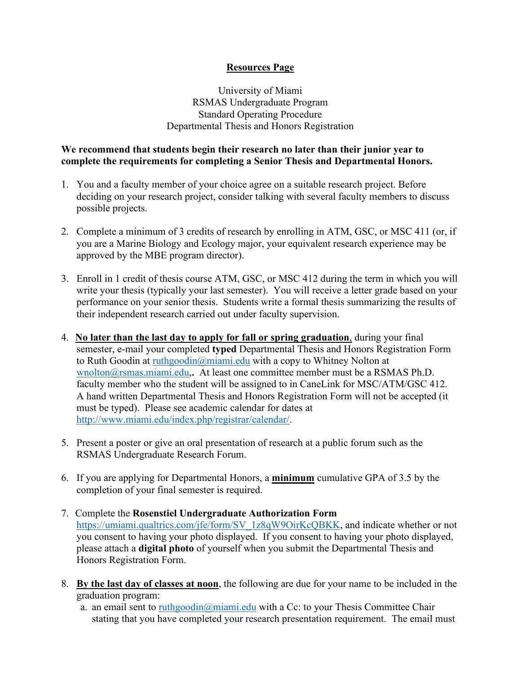## **Resources Page**

University of Miami RSMAS Undergraduate Program Standard Operating Procedure Departmental Thesis and Honors Registration

## **We recommend that students begin their research no later than their junior year to complete the requirements for completing a Senior Thesis and Departmental Honors.**

- 1. You and a faculty member of your choice agree on a suitable research project. Before deciding on your research project, consider talking with several faculty members to discuss possible projects.
- 2. Complete a minimum of 3 credits of research by enrolling in ATM, GSC, or MSC 411 (or, if you are a Marine Biology and Ecology major, your equivalent research experience may be approved by the MBE program director).
- 3. Enroll in 1 credit of thesis course ATM, GSC, or MSC 412 during the term in which you will write your thesis (typically your last semester). You will receive a letter grade based on your performance on your senior thesis. Students write a formal thesis summarizing the results of their independent research carried out under faculty supervision.
- 4. **No later than the last day to apply for fall or spring graduation**, during your final semester, e-mail your completed **typed** Departmental Thesis and Honors Registration Form to Ruth Goodin at [ruthgoodin@miami.edu](mailto:ruthgoodin@miami.eduw) with a copy to Whitney Nolton at [wnolton@rsmas.miami.edu,](mailto:wnolton@rsmas.miami.edu)**.** At least one committee member must be a RSMAS Ph.D. faculty member who the student will be assigned to in CaneLink for MSC/ATM/GSC 412. A hand written Departmental Thesis and Honors Registration Form will not be accepted (it must be typed). Please see academic calendar for dates at [http://www.miami.edu/index.php/registrar/calendar/.](http://www.miami.edu/index.php/registrar/calendar/)
- 5. Present a poster or give an oral presentation of research at a public forum such as the RSMAS Undergraduate Research Forum.
- 6. If you are applying for Departmental Honors, a **minimum** cumulative GPA of 3.5 by the completion of your final semester is required.
- 7. Complete the **Rosenstiel Undergraduate Authorization Form** [https://umiami.qualtrics.com/jfe/form/SV\\_1z8qW9OirKcQBKK,](https://umiami.qualtrics.com/jfe/form/SV_1z8qW9OirKcQBKK) and indicate whether or not you consent to having your photo displayed. If you consent to having your photo displayed, please attach a **digital photo** of yourself when you submit the Departmental Thesis and Honors Registration Form.
- 8. **By the last day of classes at noon**, the following are due for your name to be included in the graduation program:
	- a. an email sent to ruthgoodin@miami.edu with a Cc: to your Thesis Committee Chair stating that you have completed your research presentation requirement. The email must